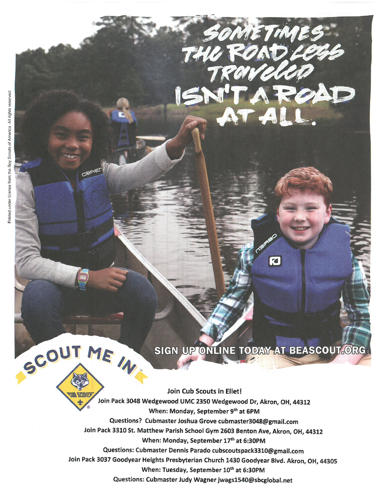SCOUT ME IN

## SIGN UP ONLINE TODAY AT BEASCOUT.ORG

O

SOMETIMES

Join Cub Scouts in Ellet! Join Pack 3048 Wedgewood UMC 2350 Wedgewood Dr, Akron, OH, 44312 When: Monday, September 9th at 6PM Questions? Cubmaster Joshua Grove cubmaster3048@gmail.com Join Pack 3310 St. Matthew Parish School Gym 2603 Benton Ave, Akron, OH, 44312 When: Monday, September 17th at 6:30PM Questions: Cubmaster Dennis Parado cubscoutspack3310@gmail.com Join Pack 3037 Goodyear Heights Presbyterian Church 1430 Goodyear Blvd. Akron, OH, 44305 When: Tuesday, September 10th at 6:30PM Questions: Cubmaster Judy Wagner jwags1540@sbcglobal.net

151